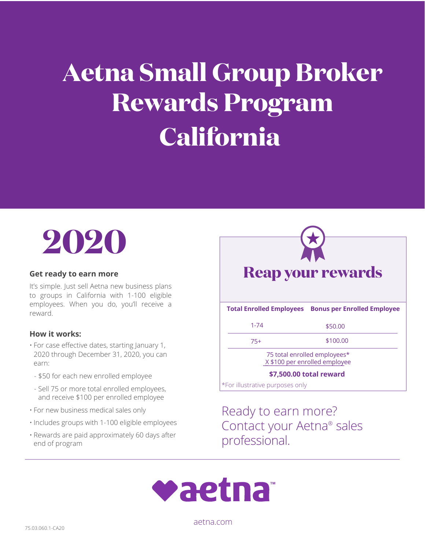## **Aetna Small Group Broker Rewards Program California**



It's simple. Just sell Aetna new business plans to groups in California with 1-100 eligible employees. When you do, you'll receive a reward.

## **How it works:**

- For case effective dates, starting January 1, 2020 through December 31, 2020, you can earn:
- \$50 for each new enrolled employee
- Sell 75 or more total enrolled employees, and receive \$100 per enrolled employee
- For new business medical sales only
- Includes groups with 1-100 eligible employees
- Rewards are paid approximately 60 days after end of program

\*For illustrative purposes only H **Get ready to earn more Reap your rewards Total Enrolled Employees Bonus per Enrolled Employee** 1-74 \$50.00 75+ \$100.00 75 total enrolled employees\* **\_\_\_\_\_\_\_\_\_\_\_\_\_\_\_\_\_\_\_\_\_\_\_\_\_\_\_\_ \_**X \$100 per enrolled employee **\_ \$7,500.00 total reward**

> Ready to earn more? Contact your Aetna® sales professional.



[aetna.com](http://aetna.com)